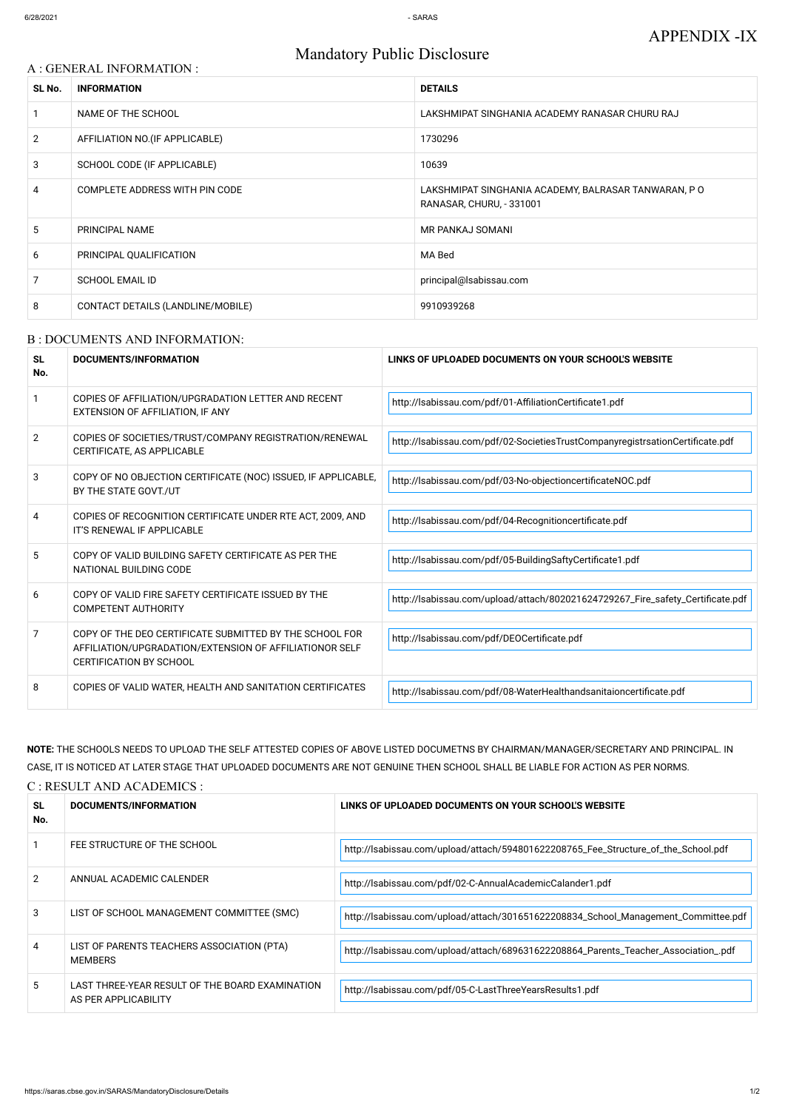# A : GENERAL INFORMATION : **SL No. INFORMATION DETAILS** 1 NAME OF THE SCHOOL **NAME OF THE SCHOOL** SALE ASSESSED ASSESSED A LAKSHMIPAT SINGHANIA ACADEMY RANASAR CHURU RAJ 2 AFFILIATION NO. (IF APPLICABLE) 1730296 3 SCHOOL CODE (IF APPLICABLE) 2008 10639 4 COMPLETE ADDRESS WITH PIN CODE LAKSHMIPAT SINGHANIA ACADEMY, BALRASAR TANWARAN, P O RANASAR, CHURU, - 331001 5 PRINCIPAL NAME NAME RESERVED AS A RESERVED ON A REPORT OF MR PANKAJ SOMANI 6 PRINCIPAL QUALIFICATION **MA Bed** 7 SCHOOL EMAIL ID **principal@lsabissau.com** 8 CONTACT DETAILS (LANDLINE/MOBILE) 9910939268

# Mandatory Public Disclosure

#### B : DOCUMENTS AND INFORMATION:

| <b>SL</b><br>No. | DOCUMENTS/INFORMATION                                                                                                                                | LINKS OF UPLOADED DOCUMENTS ON YOUR SCHOOL'S WEBSITE                           |
|------------------|------------------------------------------------------------------------------------------------------------------------------------------------------|--------------------------------------------------------------------------------|
|                  | COPIES OF AFFILIATION/UPGRADATION LETTER AND RECENT<br>EXTENSION OF AFFILIATION, IF ANY                                                              | http://lsabissau.com/pdf/01-AffiliationCertificate1.pdf                        |
| $\mathcal{P}$    | COPIES OF SOCIETIES/TRUST/COMPANY REGISTRATION/RENEWAL<br>CERTIFICATE, AS APPLICABLE                                                                 | http://lsabissau.com/pdf/02-SocietiesTrustCompanyregistrsationCertificate.pdf  |
| 3                | COPY OF NO OBJECTION CERTIFICATE (NOC) ISSUED, IF APPLICABLE,<br>BY THE STATE GOVT./UT                                                               | http://lsabissau.com/pdf/03-No-objectioncertificateNOC.pdf                     |
| 4                | COPIES OF RECOGNITION CERTIFICATE UNDER RTE ACT, 2009, AND<br>IT'S RENEWAL IF APPLICABLE                                                             | http://lsabissau.com/pdf/04-Recognitioncertificate.pdf                         |
| 5                | COPY OF VALID BUILDING SAFETY CERTIFICATE AS PER THE<br>NATIONAL BUILDING CODE                                                                       | http://lsabissau.com/pdf/05-BuildingSaftyCertificate1.pdf                      |
| 6                | COPY OF VALID FIRE SAFETY CERTIFICATE ISSUED BY THE<br><b>COMPETENT AUTHORITY</b>                                                                    | http://lsabissau.com/upload/attach/802021624729267_Fire_safety_Certificate.pdf |
| 7                | COPY OF THE DEO CERTIFICATE SUBMITTED BY THE SCHOOL FOR<br>AFFILIATION/UPGRADATION/EXTENSION OF AFFILIATIONOR SELF<br><b>CERTIFICATION BY SCHOOL</b> | http://lsabissau.com/pdf/DEOCertificate.pdf                                    |
| 8                | COPIES OF VALID WATER, HEALTH AND SANITATION CERTIFICATES                                                                                            | http://lsabissau.com/pdf/08-WaterHealthandsanitaioncertificate.pdf             |

**NOTE:** THE SCHOOLS NEEDS TO UPLOAD THE SELF ATTESTED COPIES OF ABOVE LISTED DOCUMETNS BY CHAIRMAN/MANAGER/SECRETARY AND PRINCIPAL. IN CASE, IT IS NOTICED AT LATER STAGE THAT UPLOADED DOCUMENTS ARE NOT GENUINE THEN SCHOOL SHALL BE LIABLE FOR ACTION AS PER NORMS.

C : RESULT AND ACADEMICS :

**SL No.**

#### **DOCUMENTS/INFORMATION LINKS OF UPLOADED DOCUMENTS ON YOUR SCHOOL'S WEBSITE**

|    | FEE STRUCTURE OF THE SCHOOL                                             | http://lsabissau.com/upload/attach/594801622208765_Fee_Structure_of_the_School.pdf  |
|----|-------------------------------------------------------------------------|-------------------------------------------------------------------------------------|
|    | ANNUAL ACADEMIC CALENDER                                                | http://lsabissau.com/pdf/02-C-AnnualAcademicCalander1.pdf                           |
| 3  | LIST OF SCHOOL MANAGEMENT COMMITTEE (SMC)                               | http://lsabissau.com/upload/attach/301651622208834_School_Management_Committee.pdf  |
| 4  | LIST OF PARENTS TEACHERS ASSOCIATION (PTA)<br><b>MEMBERS</b>            | http://lsabissau.com/upload/attach/689631622208864_Parents_Teacher_Association_.pdf |
| 5. | LAST THREE-YEAR RESULT OF THE BOARD EXAMINATION<br>AS PER APPLICABILITY | http://lsabissau.com/pdf/05-C-LastThreeYearsResults1.pdf                            |